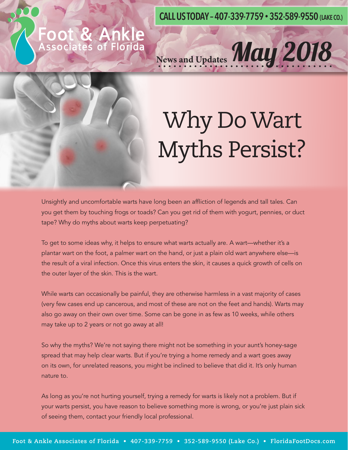**CALL US TODAY – 407-339-7759 • 352-589-9550 (LAKE CO.)**

News and Updates May 2018

# **FOOT & ANKIe**<br>Associates of Florida



# Why Do Wart Myths Persist?

Unsightly and uncomfortable warts have long been an affliction of legends and tall tales. Can you get them by touching frogs or toads? Can you get rid of them with yogurt, pennies, or duct tape? Why do myths about warts keep perpetuating?

To get to some ideas why, it helps to ensure what warts actually are. A wart—whether it's a plantar wart on the foot, a palmer wart on the hand, or just a plain old wart anywhere else—is the result of a viral infection. Once this virus enters the skin, it causes a quick growth of cells on the outer layer of the skin. This is the wart.

While warts can occasionally be painful, they are otherwise harmless in a vast majority of cases (very few cases end up cancerous, and most of these are not on the feet and hands). Warts may also go away on their own over time. Some can be gone in as few as 10 weeks, while others may take up to 2 years or not go away at all!

So why the myths? We're not saying there might not be something in your aunt's honey-sage spread that may help clear warts. But if you're trying a home remedy and a wart goes away on its own, for unrelated reasons, you might be inclined to believe that did it. It's only human nature to.

As long as you're not hurting yourself, trying a remedy for warts is likely not a problem. But if your warts persist, you have reason to believe something more is wrong, or you're just plain sick of seeing them, contact your friendly local professional.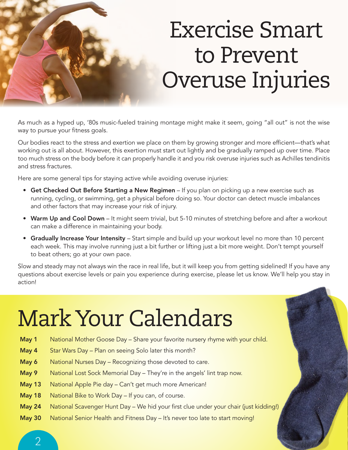### Exercise Smart to Prevent Overuse Injuries

As much as a hyped up, '80s music-fueled training montage might make it seem, going "all out" is not the wise way to pursue your fitness goals.

Our bodies react to the stress and exertion we place on them by growing stronger and more efficient—that's what working out is all about. However, this exertion must start out lightly and be gradually ramped up over time. Place too much stress on the body before it can properly handle it and you risk overuse injuries such as Achilles tendinitis and stress fractures.

Here are some general tips for staying active while avoiding overuse injuries:

- Get Checked Out Before Starting a New Regimen If you plan on picking up a new exercise such as running, cycling, or swimming, get a physical before doing so. Your doctor can detect muscle imbalances and other factors that may increase your risk of injury.
- Warm Up and Cool Down It might seem trivial, but 5-10 minutes of stretching before and after a workout can make a difference in maintaining your body.
- Gradually Increase Your Intensity Start simple and build up your workout level no more than 10 percent each week. This may involve running just a bit further or lifting just a bit more weight. Don't tempt yourself to beat others; go at your own pace.

Slow and steady may not always win the race in real life, but it will keep you from getting sidelined! If you have any questions about exercise levels or pain you experience during exercise, please let us know. We'll help you stay in action!

### Mark Your Calendars

- May 1 National Mother Goose Day Share your favorite nursery rhyme with your child.
- May 4 Star Wars Day Plan on seeing Solo later this month?
- May 6 National Nurses Day Recognizing those devoted to care.
- May 9 National Lost Sock Memorial Day They're in the angels' lint trap now.
- May 13 National Apple Pie day Can't get much more American!
- May 18 National Bike to Work Day If you can, of course.
- May 24 National Scavenger Hunt Day We hid your first clue under your chair (just kidding!)
- May 30 National Senior Health and Fitness Day It's never too late to start moving!

 $\overline{\mathcal{L}}$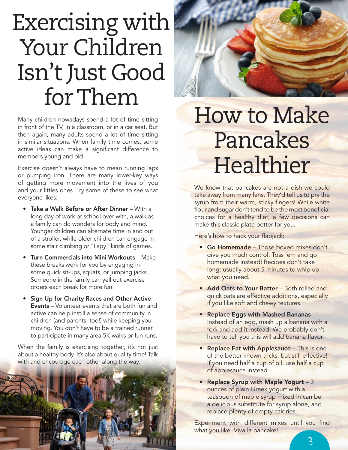### Exercising with Your Children Isn't Just Good for Them

Many children nowadays spend a lot of time sitting in front of the TV, in a classroom, or in a car seat. But then again, many adults spend a lot of time sitting in similar situations. When family time comes, some active ideas can make a significant difference to members young and old.

Exercise doesn't always have to mean running laps or pumping iron. There are many lower-key ways of getting more movement into the lives of you and your littles ones. Try some of these to see what everyone likes:

- Take a Walk Before or After Dinner With a long day of work or school over with, a walk as a family can do wonders for body and mind. Younger children can alternate time in and out of a stroller, while older children can engage in some stair climbing or "I spy" kinds of games.
- Turn Commercials into Mini Workouts Make these breaks work for you by engaging in some quick sit-ups, squats, or jumping jacks. Someone in the family can yell out exercise orders each break for more fun.
- Sign Up for Charity Races and Other Active Events – Volunteer events that are both fun and active can help instill a sense of community in children (and parents, too!) while keeping you moving. You don't have to be a trained runner to participate in many area 5K walks or fun runs.

When the family is exercising together, it's not just about a healthy body. It's also about quality time! Talk with and encourage each other along the way.





#### How to Make Pancakes **Healthier**

We know that pancakes are not a dish we could take away from many fans. They'd tell us to pry the syrup from their warm, sticky fingers! While white flour and sugar don't tend to be the most beneficial choices for a healthy diet, a few decisions can make this classic plate better for you.

Here's how to hack your flapjack:

- Go Homemade Those boxed mixes don't give you much control. Toss 'em and go homemade instead! Recipes don't take long: usually about 5 minutes to whip up what you need.
- Add Oats to Your Batter Both rolled and quick oats are effective additions, especially if you like soft and chewy textures.
- Replace Eggs with Mashed Bananas Instead of an egg, mash up a banana with a fork and add it instead. We probably don't have to tell you this will add banana flavor.
- Replace Fat with Applesauce This is one of the better known tricks, but still effective! If you need half a cup of oil, use half a cup of applesauce instead.
- Replace Syrup with Maple Yogurt 3 ounces of plain Greek yogurt with a teaspoon of maple syrup mixed in can be a delicious substitute for syrup alone, and replace plenty of empty calories.

Experiment with different mixes until you find what you like. Viva la pancake!